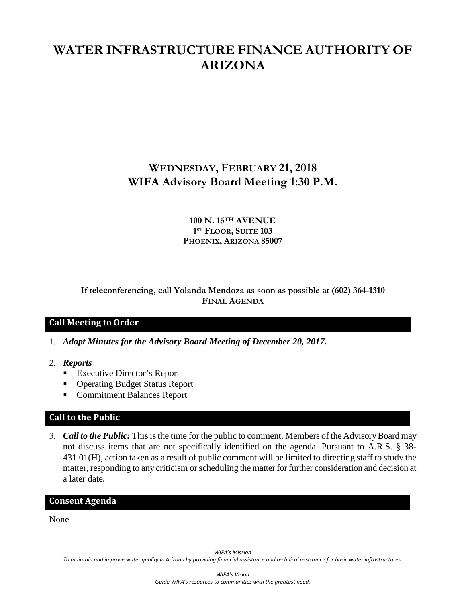# **WATER INFRASTRUCTURE FINANCE AUTHORITY OF ARIZONA**

# **WEDNESDAY, FEBRUARY 21, 2018 WIFA Advisory Board Meeting 1:30 P.M.**

#### **100 N. 15TH AVENUE 1ST FLOOR, SUITE 103 PHOENIX, ARIZONA 85007**

## **If teleconferencing, call Yolanda Mendoza as soon as possible at (602) 364-1310 FINAL AGENDA**

## **Call Meeting to Order**

- 1. *Adopt Minutes for the Advisory Board Meeting of December 20, 2017.*
- 2. *Reports*
	- Executive Director's Report
	- Operating Budget Status Report
	- Commitment Balances Report

## **Call to the Public**

3. *Call to the Public:* This is the time for the public to comment. Members of the Advisory Board may not discuss items that are not specifically identified on the agenda. Pursuant to A.R.S. § 38- 431.01(H), action taken as a result of public comment will be limited to directing staff to study the matter, responding to any criticism or scheduling the matter for further consideration and decision at a later date.

#### **Consent Agenda**

None

*WIFA's Mission*

*To maintain and improve water quality in Arizona by providing financial assistance and technical assistance for basic water infrastructures.*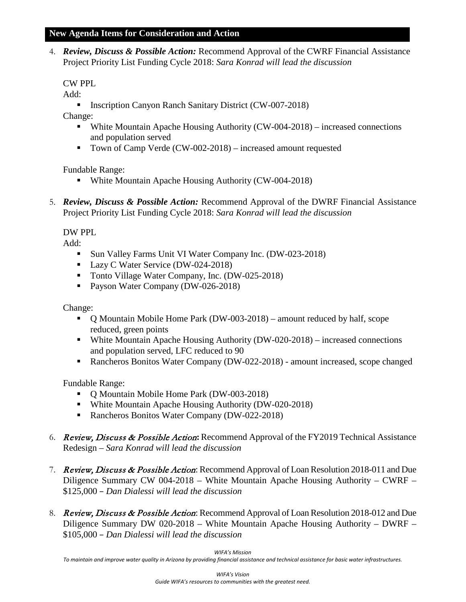4. *Review, Discuss & Possible Action:* Recommend Approval of the CWRF Financial Assistance Project Priority List Funding Cycle 2018: *Sara Konrad will lead the discussion*

# CW PPL

Add:

**Inscription Canyon Ranch Sanitary District (CW-007-2018)** 

Change:

- White Mountain Apache Housing Authority (CW-004-2018) increased connections and population served
- Town of Camp Verde (CW-002-2018) increased amount requested

Fundable Range:

- White Mountain Apache Housing Authority (CW-004-2018)
- 5. *Review, Discuss & Possible Action:* Recommend Approval of the DWRF Financial Assistance Project Priority List Funding Cycle 2018: *Sara Konrad will lead the discussion*

## DW PPL

Add:

- Sun Valley Farms Unit VI Water Company Inc. (DW-023-2018)
- Lazy C Water Service (DW-024-2018)
- Tonto Village Water Company, Inc. (DW-025-2018)
- Payson Water Company (DW-026-2018)

Change:

- Q Mountain Mobile Home Park (DW-003-2018) amount reduced by half, scope reduced, green points
- White Mountain Apache Housing Authority (DW-020-2018) increased connections and population served, LFC reduced to 90
- Rancheros Bonitos Water Company (DW-022-2018) amount increased, scope changed

Fundable Range:

- O Mountain Mobile Home Park (DW-003-2018)
- White Mountain Apache Housing Authority (DW-020-2018)
- Rancheros Bonitos Water Company (DW-022-2018)
- 6. Review, Discuss & Possible Action**:** Recommend Approval of the FY2019 Technical Assistance Redesign – *Sara Konrad will lead the discussion*
- 7. Review, Discuss & Possible Action: Recommend Approval of Loan Resolution 2018-011 and Due Diligence Summary CW 004-2018 – White Mountain Apache Housing Authority – CWRF – \$125,000 – *Dan Dialessi will lead the discussion*
- 8. Review, Discuss & Possible Action: Recommend Approval of Loan Resolution 2018-012 and Due Diligence Summary DW 020-2018 – White Mountain Apache Housing Authority – DWRF – \$105,000 – *Dan Dialessi will lead the discussion*

*WIFA's Mission*

*To maintain and improve water quality in Arizona by providing financial assistance and technical assistance for basic water infrastructures.*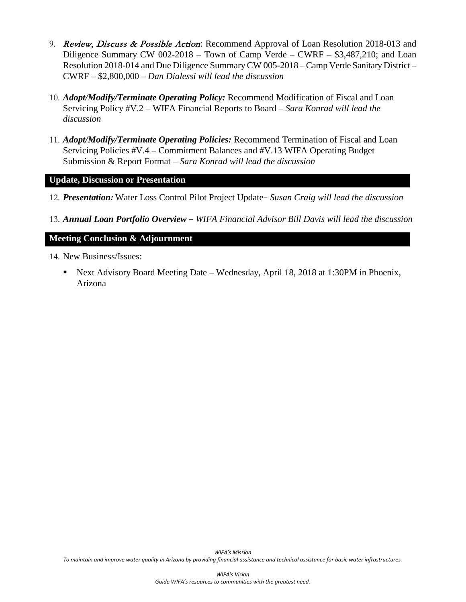- 9. *Review, Discuss & Possible Action*: Recommend Approval of Loan Resolution 2018-013 and Diligence Summary CW 002-2018 – Town of Camp Verde – CWRF – \$3,487,210; and Loan Resolution 2018-014 and Due Diligence SummaryCW 005-2018 – Camp Verde Sanitary District – CWRF – \$2,800,000 – *Dan Dialessi will lead the discussion*
- 10. *Adopt/Modify/Terminate Operating Policy:* Recommend Modification of Fiscal and Loan Servicing Policy #V.2 – WIFA Financial Reports to Board *– Sara Konrad will lead the discussion*
- 11. *Adopt/Modify/Terminate Operating Policies:* Recommend Termination of Fiscal and Loan Servicing Policies #V.4 – Commitment Balances and #V.13 WIFA Operating Budget Submission & Report Format *– Sara Konrad will lead the discussion*

#### **Update, Discussion or Presentation**

- 12. *Presentation:* Water Loss Control Pilot Project Update– *Susan Craig will lead the discussion*
- 13. *Annual Loan Portfolio Overview* − *WIFA Financial Advisor Bill Davis will lead the discussion*

#### **Meeting Conclusion & Adjournment**

14. New Business/Issues:

 Next Advisory Board Meeting Date – Wednesday, April 18, 2018 at 1:30PM in Phoenix, Arizona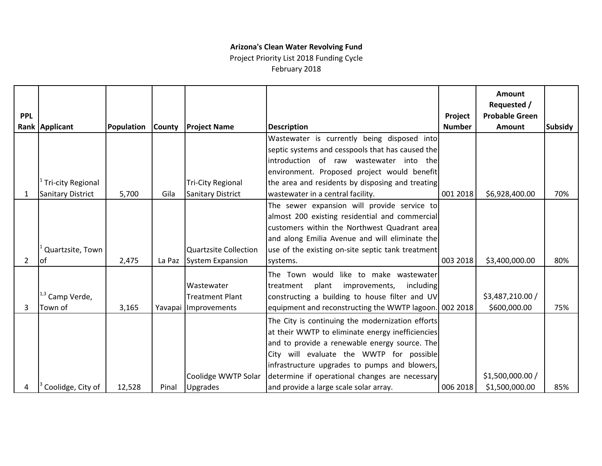# **Arizona's Clean Water Revolving Fund**

Project Priority List 2018 Funding Cycle February 2018

| <b>PPL</b> | Rank Applicant             | Population | <b>County</b> | <b>Project Name</b>          | <b>Description</b>                                     | Project<br><b>Number</b> | <b>Amount</b><br>Requested /<br><b>Probable Green</b><br>Amount | <b>Subsidy</b> |
|------------|----------------------------|------------|---------------|------------------------------|--------------------------------------------------------|--------------------------|-----------------------------------------------------------------|----------------|
|            |                            |            |               |                              | Wastewater is currently being disposed into            |                          |                                                                 |                |
|            |                            |            |               |                              | septic systems and cesspools that has caused the       |                          |                                                                 |                |
|            |                            |            |               |                              | introduction of raw wastewater into the                |                          |                                                                 |                |
|            |                            |            |               |                              | environment. Proposed project would benefit            |                          |                                                                 |                |
|            | <b>Tri-city Regional</b>   |            |               | <b>Tri-City Regional</b>     | the area and residents by disposing and treating       |                          |                                                                 |                |
|            | <b>Sanitary District</b>   | 5,700      | Gila          | <b>Sanitary District</b>     | wastewater in a central facility.                      | 001 2018                 | \$6,928,400.00                                                  | 70%            |
|            |                            |            |               |                              | The sewer expansion will provide service to            |                          |                                                                 |                |
|            |                            |            |               |                              | almost 200 existing residential and commercial         |                          |                                                                 |                |
|            |                            |            |               |                              | customers within the Northwest Quadrant area           |                          |                                                                 |                |
|            |                            |            |               |                              | and along Emilia Avenue and will eliminate the         |                          |                                                                 |                |
|            | Quartzsite, Town           |            |               | <b>Quartzsite Collection</b> | use of the existing on-site septic tank treatment      |                          |                                                                 |                |
| 2          | <b>of</b>                  | 2,475      | La Paz        | <b>System Expansion</b>      | systems.                                               | 003 2018                 | \$3,400,000.00                                                  | 80%            |
|            |                            |            |               |                              | like to make wastewater<br>The Town would              |                          |                                                                 |                |
|            |                            |            |               | Wastewater                   | treatment<br>plant<br>improvements,<br>including       |                          |                                                                 |                |
|            | <sup>1,3</sup> Camp Verde, |            |               | <b>Treatment Plant</b>       | constructing a building to house filter and UV         |                          | \$3,487,210.00 /                                                |                |
| 3          | Town of                    | 3,165      |               | Yavapai Improvements         | equipment and reconstructing the WWTP lagoon. 002 2018 |                          | \$600,000.00                                                    | 75%            |
|            |                            |            |               |                              | The City is continuing the modernization efforts       |                          |                                                                 |                |
|            |                            |            |               |                              | at their WWTP to eliminate energy inefficiencies       |                          |                                                                 |                |
|            |                            |            |               |                              | and to provide a renewable energy source. The          |                          |                                                                 |                |
|            |                            |            |               |                              | City will evaluate the WWTP for possible               |                          |                                                                 |                |
|            |                            |            |               |                              | infrastructure upgrades to pumps and blowers,          |                          |                                                                 |                |
|            |                            |            |               | Coolidge WWTP Solar          | determine if operational changes are necessary         |                          | \$1,500,000.00 /                                                |                |
| 4          | Coolidge, City of          | 12,528     | Pinal         | <b>Upgrades</b>              | and provide a large scale solar array.                 | 006 2018                 | \$1,500,000.00                                                  | 85%            |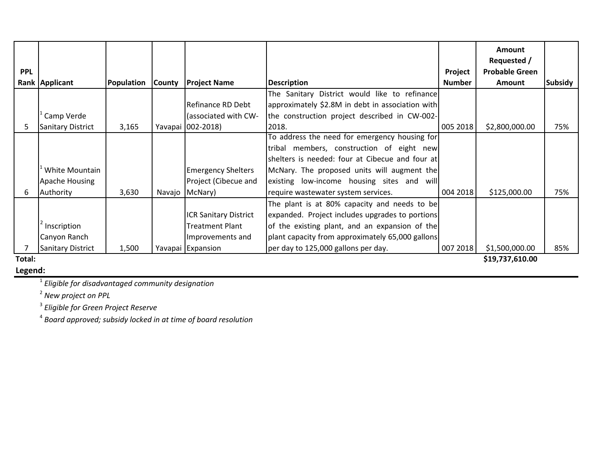|            |                          |            |               |                              |                                                  |               | <b>Amount</b><br>Requested / |         |  |  |  |
|------------|--------------------------|------------|---------------|------------------------------|--------------------------------------------------|---------------|------------------------------|---------|--|--|--|
| <b>PPL</b> |                          |            |               |                              |                                                  | Project       | <b>Probable Green</b>        |         |  |  |  |
|            | Rank Applicant           | Population | <b>County</b> | <b>Project Name</b>          | <b>Description</b>                               | <b>Number</b> | Amount                       | Subsidy |  |  |  |
|            |                          |            |               |                              | The Sanitary District would like to refinance    |               |                              |         |  |  |  |
|            |                          |            |               | Refinance RD Debt            | approximately \$2.8M in debt in association with |               |                              |         |  |  |  |
|            | Camp Verde               |            |               | (associated with CW-         | the construction project described in CW-002-    |               |                              |         |  |  |  |
|            | Sanitary District        | 3,165      |               | Yavapai 002-2018)            | 2018.                                            | 005 2018      | \$2,800,000.00               | 75%     |  |  |  |
|            |                          |            |               |                              | To address the need for emergency housing for    |               |                              |         |  |  |  |
|            |                          |            |               |                              | tribal members, construction of eight new        |               |                              |         |  |  |  |
|            |                          |            |               |                              | shelters is needed: four at Cibecue and four at  |               |                              |         |  |  |  |
|            | White Mountain           |            |               | <b>Emergency Shelters</b>    | McNary. The proposed units will augment the      |               |                              |         |  |  |  |
|            | Apache Housing           |            |               | Project (Cibecue and         | existing low-income housing sites and will       |               |                              |         |  |  |  |
| 6          | Authority                | 3,630      | Navajo        | McNary)                      | require wastewater system services.              | 004 2018      | \$125,000.00                 | 75%     |  |  |  |
|            |                          |            |               |                              | The plant is at 80% capacity and needs to be     |               |                              |         |  |  |  |
|            |                          |            |               | <b>ICR Sanitary District</b> | expanded. Project includes upgrades to portions  |               |                              |         |  |  |  |
|            | Inscription              |            |               | <b>Treatment Plant</b>       | of the existing plant, and an expansion of the   |               |                              |         |  |  |  |
|            | Canyon Ranch             |            |               | Improvements and             | plant capacity from approximately 65,000 gallons |               |                              |         |  |  |  |
|            | <b>Sanitary District</b> | 1,500      |               | Yavapai Expansion            | per day to 125,000 gallons per day.              | 007 2018      | \$1,500,000.00               | 85%     |  |  |  |
| Total:     | \$19,737,610.00          |            |               |                              |                                                  |               |                              |         |  |  |  |

**Legend:**

1 *Eligible for disadvantaged community designation*

2 *New project on PPL*

3 *Eligible for Green Project Reserve*

4 *Board approved; subsidy locked in at time of board resolution*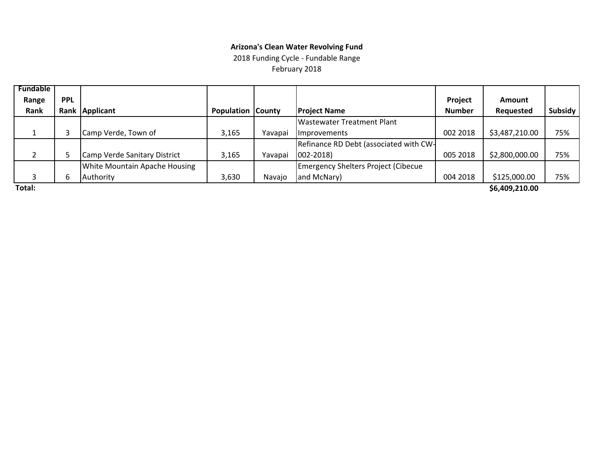#### **Arizona's Clean Water Revolving Fund**

2018 Funding Cycle ‐ Fundable Range February 2018

| <b>Fundable</b> |            |                                      |                          |         |                                             |               |                |         |
|-----------------|------------|--------------------------------------|--------------------------|---------|---------------------------------------------|---------------|----------------|---------|
| Range           | <b>PPL</b> |                                      |                          |         |                                             | Project       | <b>Amount</b>  |         |
| Rank            |            | Rank Applicant                       | <b>Population County</b> |         | <b>Project Name</b>                         | <b>Number</b> | Requested      | Subsidy |
|                 |            |                                      |                          |         | Wastewater Treatment Plant                  |               |                |         |
|                 |            | Camp Verde, Town of                  | 3,165                    | Yavapai | <i>Improvements</i>                         | 002 2018      | \$3,487,210.00 | 75%     |
|                 |            |                                      |                          |         | Refinance RD Debt (associated with CW-      |               |                |         |
|                 |            | Camp Verde Sanitary District         | 3,165                    | Yavapai | $ 002 - 2018\rangle$                        | 005 2018      | \$2,800,000.00 | 75%     |
|                 |            | <b>White Mountain Apache Housing</b> |                          |         | <b>Emergency Shelters Project (Cibecue)</b> |               |                |         |
|                 | b          | Authority                            | 3,630                    | Navajo  | and McNary)                                 | 004 2018      | \$125,000.00   | 75%     |
| _ _             |            |                                      |                          |         |                                             |               | .              |         |

**Total:**

**\$6,409,210.00**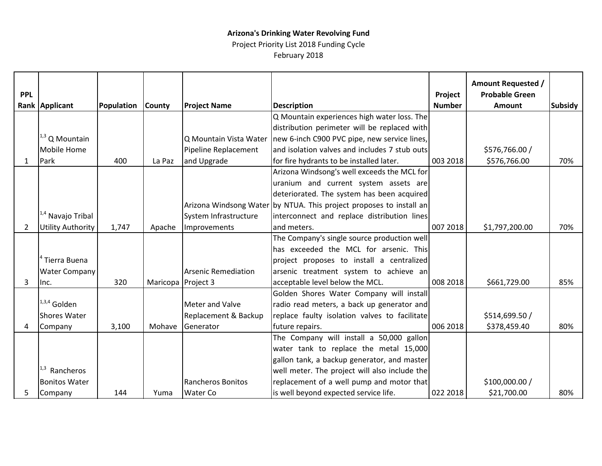# **Arizona's Drinking Water Revolving Fund**

Project Priority List 2018 Funding Cycle February 2018

|                |                              |            |               |                            |                                                                     |               | <b>Amount Requested /</b> |                |
|----------------|------------------------------|------------|---------------|----------------------------|---------------------------------------------------------------------|---------------|---------------------------|----------------|
| <b>PPL</b>     |                              |            |               |                            |                                                                     | Project       | <b>Probable Green</b>     |                |
|                | Rank Applicant               | Population | <b>County</b> | <b>Project Name</b>        | <b>Description</b>                                                  | <b>Number</b> | <b>Amount</b>             | <b>Subsidy</b> |
|                |                              |            |               |                            | Q Mountain experiences high water loss. The                         |               |                           |                |
|                |                              |            |               |                            | distribution perimeter will be replaced with                        |               |                           |                |
|                | $1,3$ Q Mountain             |            |               | Q Mountain Vista Water     | new 6-inch C900 PVC pipe, new service lines,                        |               |                           |                |
|                | <b>Mobile Home</b>           |            |               | Pipeline Replacement       | and isolation valves and includes 7 stub outs                       |               | \$576,766.00 /            |                |
| $\mathbf{1}$   | Park                         | 400        | La Paz        | and Upgrade                | for fire hydrants to be installed later.                            | 003 2018      | \$576,766.00              | 70%            |
|                |                              |            |               |                            | Arizona Windsong's well exceeds the MCL for                         |               |                           |                |
|                |                              |            |               |                            | uranium and current system assets are                               |               |                           |                |
|                |                              |            |               |                            | deteriorated. The system has been acquired                          |               |                           |                |
|                |                              |            |               |                            | Arizona Windsong Water by NTUA. This project proposes to install an |               |                           |                |
|                | <sup>1,4</sup> Navajo Tribal |            |               | System Infrastructure      | interconnect and replace distribution lines                         |               |                           |                |
| $\overline{2}$ | <b>Utility Authority</b>     | 1,747      | Apache        | Improvements               | and meters.                                                         | 007 2018      | \$1,797,200.00            | 70%            |
|                |                              |            |               |                            | The Company's single source production well                         |               |                           |                |
|                |                              |            |               |                            | has exceeded the MCL for arsenic. This                              |               |                           |                |
|                | Tierra Buena                 |            |               |                            | project proposes to install a centralized                           |               |                           |                |
|                | <b>Water Company</b>         |            |               | <b>Arsenic Remediation</b> | arsenic treatment system to achieve an                              |               |                           |                |
| 3              | Inc.                         | 320        | Maricopa      | Project 3                  | acceptable level below the MCL.                                     | 008 2018      | \$661,729.00              | 85%            |
|                |                              |            |               |                            | Golden Shores Water Company will install                            |               |                           |                |
|                | $1,3,4$ Golden               |            |               | Meter and Valve            | radio read meters, a back up generator and                          |               |                           |                |
|                | <b>Shores Water</b>          |            |               | Replacement & Backup       | replace faulty isolation valves to facilitate                       |               | \$514,699.50 /            |                |
| Δ              | Company                      | 3,100      | Mohave        | Generator                  | future repairs.                                                     | 006 2018      | \$378,459.40              | 80%            |
|                |                              |            |               |                            | The Company will install a 50,000 gallon                            |               |                           |                |
|                |                              |            |               |                            | water tank to replace the metal 15,000                              |               |                           |                |
|                |                              |            |               |                            | gallon tank, a backup generator, and master                         |               |                           |                |
|                | Rancheros                    |            |               |                            | well meter. The project will also include the                       |               |                           |                |
|                | <b>Bonitos Water</b>         |            |               | <b>Rancheros Bonitos</b>   | replacement of a well pump and motor that                           |               | \$100,000.00 /            |                |
| 5              | Company                      | 144        | Yuma          | Water Co                   | is well beyond expected service life.                               | 022 2018      | \$21,700.00               | 80%            |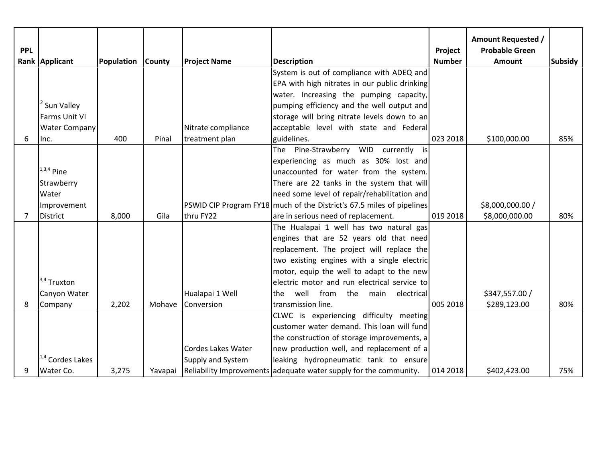| <b>PPL</b> |                             |            |               |                           |                                                                       | Project       | <b>Amount Requested /</b><br><b>Probable Green</b> |                |
|------------|-----------------------------|------------|---------------|---------------------------|-----------------------------------------------------------------------|---------------|----------------------------------------------------|----------------|
|            | Rank Applicant              | Population | <b>County</b> | <b>Project Name</b>       | <b>Description</b>                                                    | <b>Number</b> | <b>Amount</b>                                      | <b>Subsidy</b> |
|            |                             |            |               |                           | System is out of compliance with ADEQ and                             |               |                                                    |                |
|            |                             |            |               |                           | EPA with high nitrates in our public drinking                         |               |                                                    |                |
|            |                             |            |               |                           | water. Increasing the pumping capacity,                               |               |                                                    |                |
|            | Sun Valley                  |            |               |                           | pumping efficiency and the well output and                            |               |                                                    |                |
|            | Farms Unit VI               |            |               |                           | storage will bring nitrate levels down to an                          |               |                                                    |                |
|            | <b>Water Company</b>        |            |               | Nitrate compliance        | acceptable level with state and Federal                               |               |                                                    |                |
| 6          | Inc.                        | 400        | Pinal         | treatment plan            | guidelines.                                                           | 023 2018      | \$100,000.00                                       | 85%            |
|            |                             |            |               |                           | The Pine-Strawberry WID currently<br>isl                              |               |                                                    |                |
|            |                             |            |               |                           | experiencing as much as 30% lost and                                  |               |                                                    |                |
|            | $1,3,4$ Pine                |            |               |                           | unaccounted for water from the system.                                |               |                                                    |                |
|            | Strawberry                  |            |               |                           | There are 22 tanks in the system that will                            |               |                                                    |                |
|            | Water                       |            |               |                           | need some level of repair/rehabilitation and                          |               |                                                    |                |
|            | Improvement                 |            |               |                           | PSWID CIP Program FY18 much of the District's 67.5 miles of pipelines |               | \$8,000,000.00 /                                   |                |
| 7          | <b>District</b>             | 8,000      | Gila          | thru FY22                 | are in serious need of replacement.                                   | 019 2018      | \$8,000,000.00                                     | 80%            |
|            |                             |            |               |                           | The Hualapai 1 well has two natural gas                               |               |                                                    |                |
|            |                             |            |               |                           | engines that are 52 years old that need                               |               |                                                    |                |
|            |                             |            |               |                           | replacement. The project will replace the                             |               |                                                    |                |
|            |                             |            |               |                           | two existing engines with a single electric                           |               |                                                    |                |
|            |                             |            |               |                           | motor, equip the well to adapt to the new                             |               |                                                    |                |
|            | $3,4$ Truxton               |            |               |                           | electric motor and run electrical service to                          |               |                                                    |                |
|            | Canyon Water                |            |               | Hualapai 1 Well           | well from<br>the main<br>electrical<br>the.                           |               | \$347,557.00 /                                     |                |
| 8          | Company                     | 2,202      | Mohave        | Conversion                | transmission line.                                                    | 005 2018      | \$289,123.00                                       | 80%            |
|            |                             |            |               |                           | CLWC is experiencing difficulty meeting                               |               |                                                    |                |
|            |                             |            |               |                           | customer water demand. This loan will fund                            |               |                                                    |                |
|            |                             |            |               |                           | the construction of storage improvements, a                           |               |                                                    |                |
|            |                             |            |               | <b>Cordes Lakes Water</b> | new production well, and replacement of a                             |               |                                                    |                |
|            | <sup>1,4</sup> Cordes Lakes |            |               | Supply and System         | leaking hydropneumatic tank to ensure                                 |               |                                                    |                |
| q          | Water Co.                   | 3,275      | Yavapai       |                           | Reliability Improvements adequate water supply for the community.     | 014 2018      | \$402,423.00                                       | 75%            |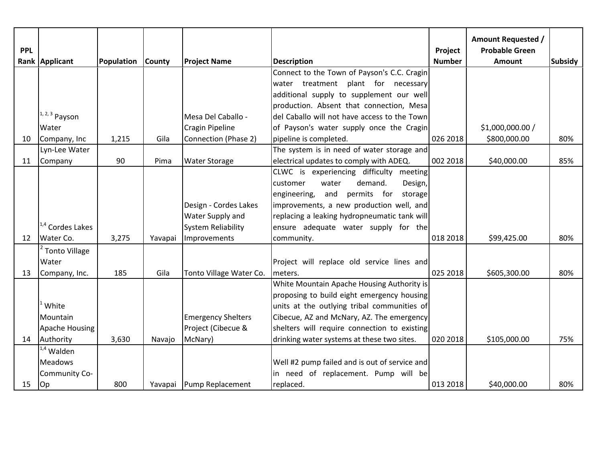|            |                             |            |               |                           |                                               |               | <b>Amount Requested /</b> |                |
|------------|-----------------------------|------------|---------------|---------------------------|-----------------------------------------------|---------------|---------------------------|----------------|
| <b>PPL</b> |                             |            |               |                           |                                               | Project       | <b>Probable Green</b>     |                |
|            | Rank Applicant              | Population | <b>County</b> | <b>Project Name</b>       | <b>Description</b>                            | <b>Number</b> | <b>Amount</b>             | <b>Subsidy</b> |
|            |                             |            |               |                           | Connect to the Town of Payson's C.C. Cragin   |               |                           |                |
|            |                             |            |               |                           | water treatment plant for necessary           |               |                           |                |
|            |                             |            |               |                           | additional supply to supplement our well      |               |                           |                |
|            |                             |            |               |                           | production. Absent that connection, Mesa      |               |                           |                |
|            | $1, 2, 3$ Payson            |            |               | Mesa Del Caballo -        | del Caballo will not have access to the Town  |               |                           |                |
|            | Water                       |            |               | Cragin Pipeline           | of Payson's water supply once the Cragin      |               | \$1,000,000.00 /          |                |
| 10         | Company, Inc                | 1,215      | Gila          | Connection (Phase 2)      | pipeline is completed.                        | 026 2018      | \$800,000.00              | 80%            |
|            | Lyn-Lee Water               |            |               |                           | The system is in need of water storage and    |               |                           |                |
| 11         | Company                     | 90         | Pima          | <b>Water Storage</b>      | electrical updates to comply with ADEQ.       | 002 2018      | \$40,000.00               | 85%            |
|            |                             |            |               |                           | CLWC is experiencing difficulty meeting       |               |                           |                |
|            |                             |            |               |                           | demand.<br>customer<br>water<br>Design,       |               |                           |                |
|            |                             |            |               |                           | and<br>permits for storage<br>engineering,    |               |                           |                |
|            |                             |            |               | Design - Cordes Lakes     | improvements, a new production well, and      |               |                           |                |
|            |                             |            |               | Water Supply and          | replacing a leaking hydropneumatic tank will  |               |                           |                |
|            | <sup>1,4</sup> Cordes Lakes |            |               | <b>System Reliability</b> | ensure adequate water supply for the          |               |                           |                |
| 12         | Water Co.                   | 3,275      | Yavapai       | Improvements              | community.                                    | 018 2018      | \$99,425.00               | 80%            |
|            | <sup>2</sup> Tonto Village  |            |               |                           |                                               |               |                           |                |
|            | Water                       |            |               |                           | Project will replace old service lines and    |               |                           |                |
| 13         | Company, Inc.               | 185        | Gila          | Tonto Village Water Co.   | meters.                                       | 025 2018      | \$605,300.00              | 80%            |
|            |                             |            |               |                           | White Mountain Apache Housing Authority is    |               |                           |                |
|            |                             |            |               |                           | proposing to build eight emergency housing    |               |                           |                |
|            | White                       |            |               |                           | units at the outlying tribal communities of   |               |                           |                |
|            | Mountain                    |            |               | <b>Emergency Shelters</b> | Cibecue, AZ and McNary, AZ. The emergency     |               |                           |                |
|            | Apache Housing              |            |               | Project (Cibecue &        | shelters will require connection to existing  |               |                           |                |
| 14         | Authority                   | 3,630      | Navajo        | McNary)                   | drinking water systems at these two sites.    | 020 2018      | \$105,000.00              | 75%            |
|            | $1.4$ Walden                |            |               |                           |                                               |               |                           |                |
|            | <b>Meadows</b>              |            |               |                           | Well #2 pump failed and is out of service and |               |                           |                |
|            | Community Co-               |            |               |                           | in need of replacement. Pump will be          |               |                           |                |
| 15         | Op                          | 800        |               | Yavapai Pump Replacement  | replaced.                                     | 013 2018      | \$40,000.00               | 80%            |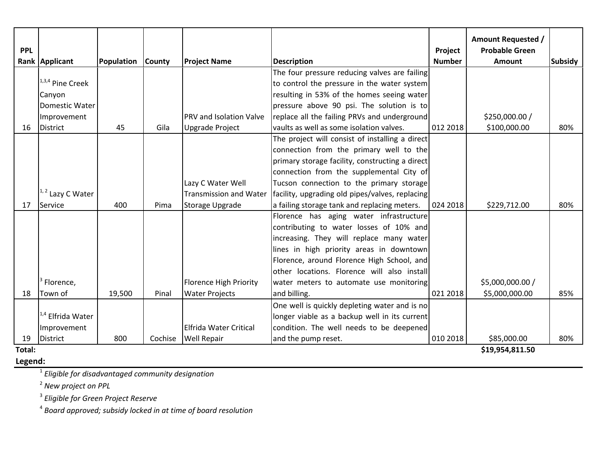|            |                        |            |               |                                |                                                 |               | <b>Amount Requested /</b> |                |
|------------|------------------------|------------|---------------|--------------------------------|-------------------------------------------------|---------------|---------------------------|----------------|
| <b>PPL</b> |                        |            |               |                                |                                                 | Project       | <b>Probable Green</b>     |                |
|            | Rank Applicant         | Population | <b>County</b> | <b>Project Name</b>            | <b>Description</b>                              | <b>Number</b> | <b>Amount</b>             | <b>Subsidy</b> |
|            |                        |            |               |                                | The four pressure reducing valves are failing   |               |                           |                |
|            | $1,3,4$ Pine Creek     |            |               |                                | to control the pressure in the water system     |               |                           |                |
|            | Canyon                 |            |               |                                | resulting in 53% of the homes seeing water      |               |                           |                |
|            | Domestic Water         |            |               |                                | pressure above 90 psi. The solution is to       |               |                           |                |
|            | Improvement            |            |               | <b>PRV and Isolation Valve</b> | replace all the failing PRVs and underground    |               | \$250,000.00 /            |                |
| 16         | District               | 45         | Gila          | <b>Upgrade Project</b>         | vaults as well as some isolation valves.        | 012 2018      | \$100,000.00              | 80%            |
|            |                        |            |               |                                | The project will consist of installing a direct |               |                           |                |
|            |                        |            |               |                                | connection from the primary well to the         |               |                           |                |
|            |                        |            |               |                                | primary storage facility, constructing a direct |               |                           |                |
|            |                        |            |               |                                | connection from the supplemental City of        |               |                           |                |
|            |                        |            |               | Lazy C Water Well              | Tucson connection to the primary storage        |               |                           |                |
|            | $1, 2$ Lazy C Water    |            |               | <b>Transmission and Water</b>  | facility, upgrading old pipes/valves, replacing |               |                           |                |
| 17         | Service                | 400        | Pima          | Storage Upgrade                | a failing storage tank and replacing meters.    | 024 2018      | \$229,712.00              | 80%            |
|            |                        |            |               |                                | Florence has aging water infrastructure         |               |                           |                |
|            |                        |            |               |                                | contributing to water losses of 10% and         |               |                           |                |
|            |                        |            |               |                                | increasing. They will replace many water        |               |                           |                |
|            |                        |            |               |                                | lines in high priority areas in downtown        |               |                           |                |
|            |                        |            |               |                                | Florence, around Florence High School, and      |               |                           |                |
|            |                        |            |               |                                | other locations. Florence will also install     |               |                           |                |
|            | <sup>3</sup> Florence, |            |               | <b>Florence High Priority</b>  | water meters to automate use monitoring         |               | \$5,000,000.00 /          |                |
| 18         | Town of                | 19,500     | Pinal         | <b>Water Projects</b>          | and billing.                                    | 021 2018      | \$5,000,000.00            | 85%            |
|            |                        |            |               |                                | One well is quickly depleting water and is no   |               |                           |                |
|            | $1.4$ Elfrida Water    |            |               |                                | longer viable as a backup well in its current   |               |                           |                |
|            | Improvement            |            |               | <b>Elfrida Water Critical</b>  | condition. The well needs to be deepened        |               |                           |                |
| 19         | <b>District</b>        | 800        | Cochise       | <b>Well Repair</b>             | and the pump reset.                             | 010 2018      | \$85,000.00               | 80%            |
| Total:     |                        |            |               |                                |                                                 |               | \$19,954,811.50           |                |

**Legend:**

**\$19,954,811.50** 

1 *Eligible for disadvantaged community designation*

2 *New project on PPL*

3 *Eligible for Green Project Reserve*

4 *Board approved; subsidy locked in at time of board resolution*